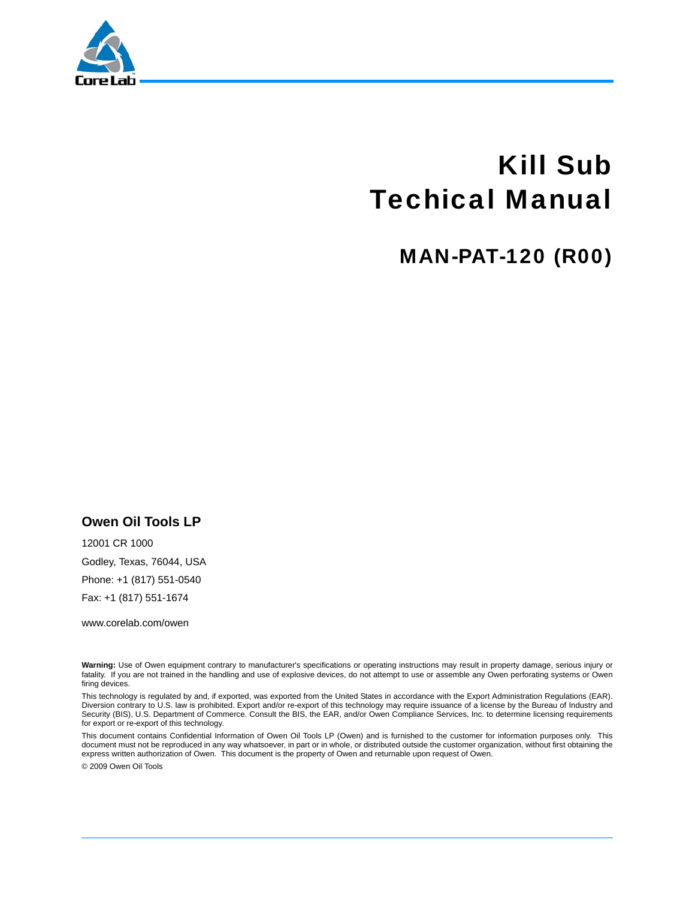

# Kill Sub Techical Manual

## MAN-PAT-120 (R00)

#### **Owen Oil Tools LP**

12001 CR 1000 Godley, Texas, 76044, USA Phone: +1 (817) 551-0540 Fax: +1 (817) 551-1674

www.corelab.com/owen

**Warning:** Use of Owen equipment contrary to manufacturer's specifications or operating instructions may result in property damage, serious injury or fatality. If you are not trained in the handling and use of explosive devices, do not attempt to use or assemble any Owen perforating systems or Owen firing devices.

This technology is regulated by and, if exported, was exported from the United States in accordance with the Export Administration Regulations (EAR). Diversion contrary to U.S. law is prohibited. Export and/or re-export of this technology may require issuance of a license by the Bureau of Industry and<br>Security (BIS), U.S. Department of Commerce. Consult the BIS, the EAR for export or re-export of this technology.

This document contains Confidential Information of Owen Oil Tools LP (Owen) and is furnished to the customer for information purposes only. This document must not be reproduced in any way whatsoever, in part or in whole, or distributed outside the customer organization, without first obtaining the express written authorization of Owen. This document is the property of Owen and returnable upon request of Owen.

© 2009 Owen Oil Tools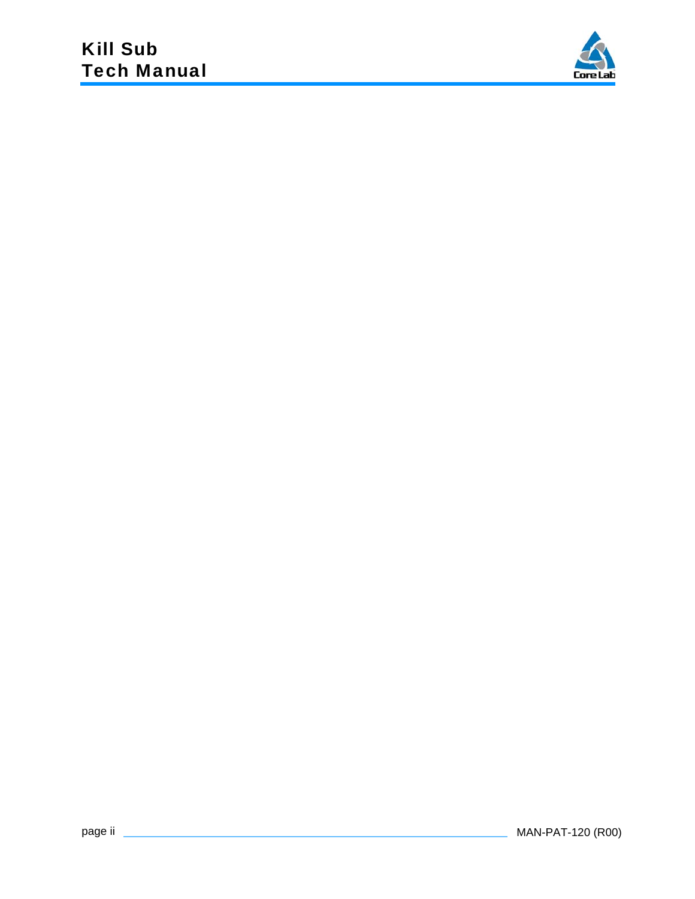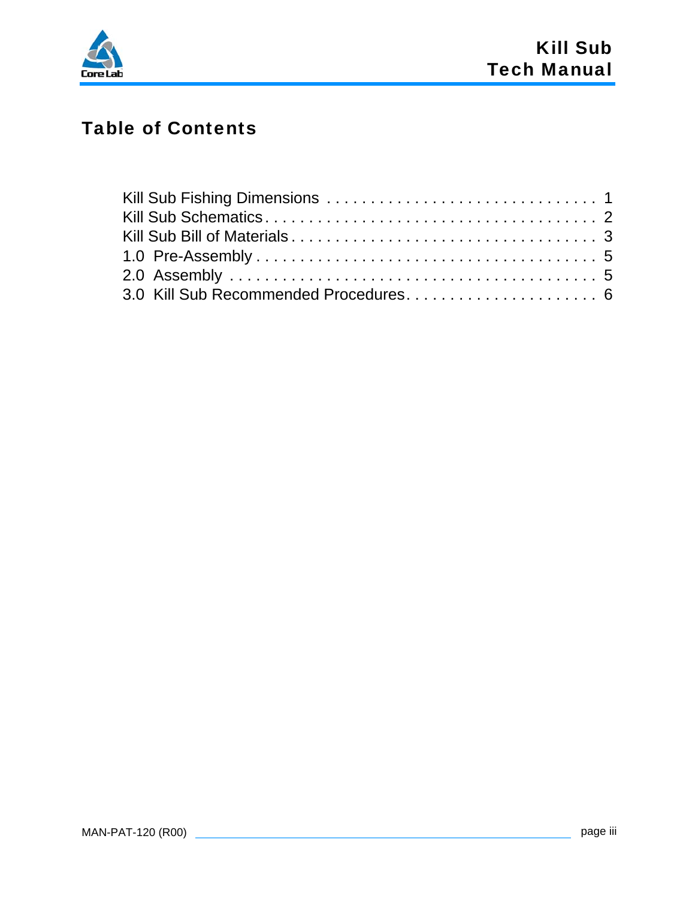

### Table of Contents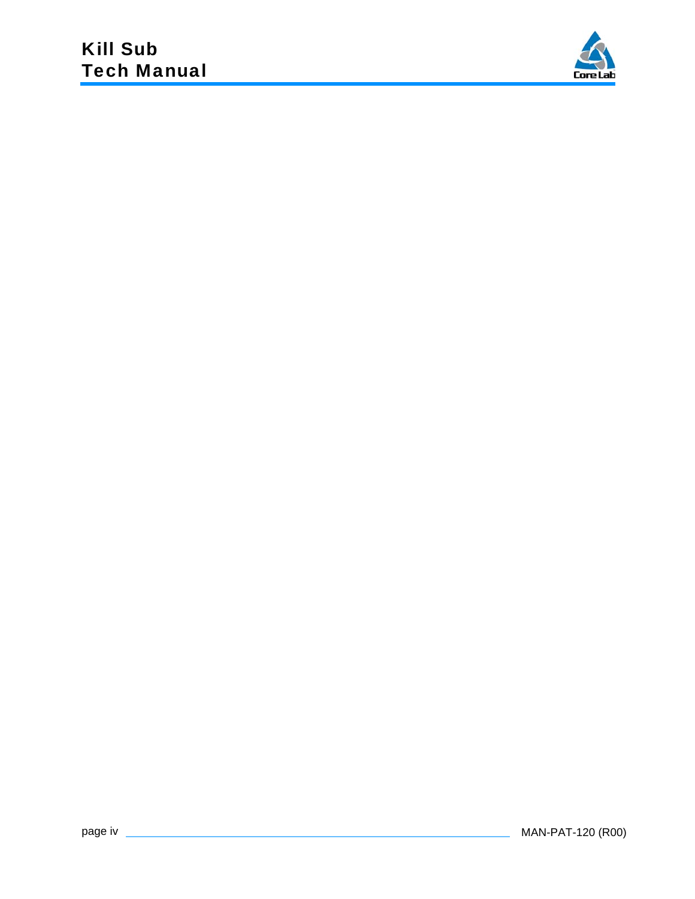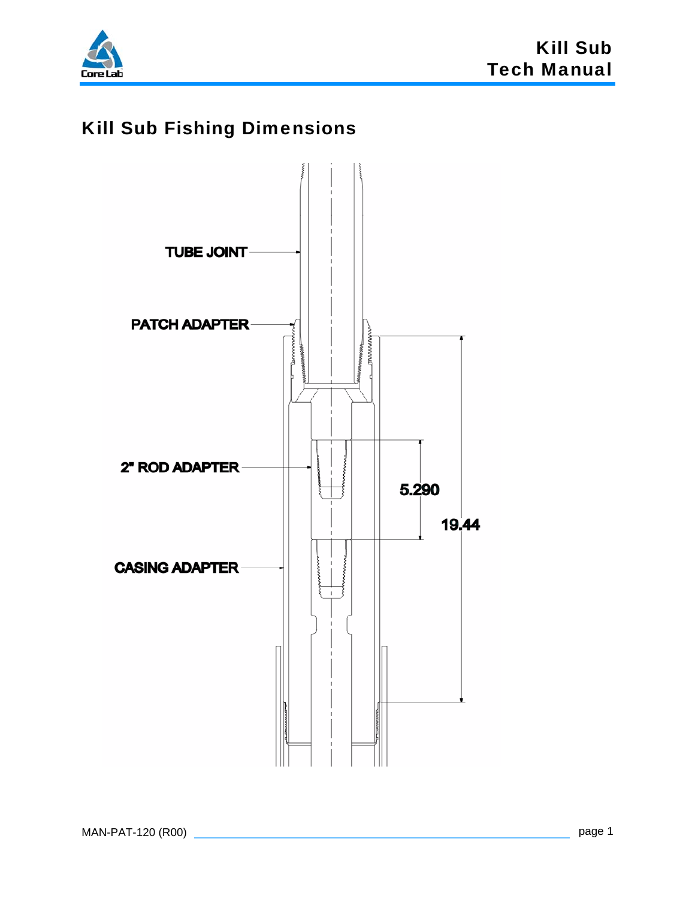

# Kill Sub Fishing Dimensions

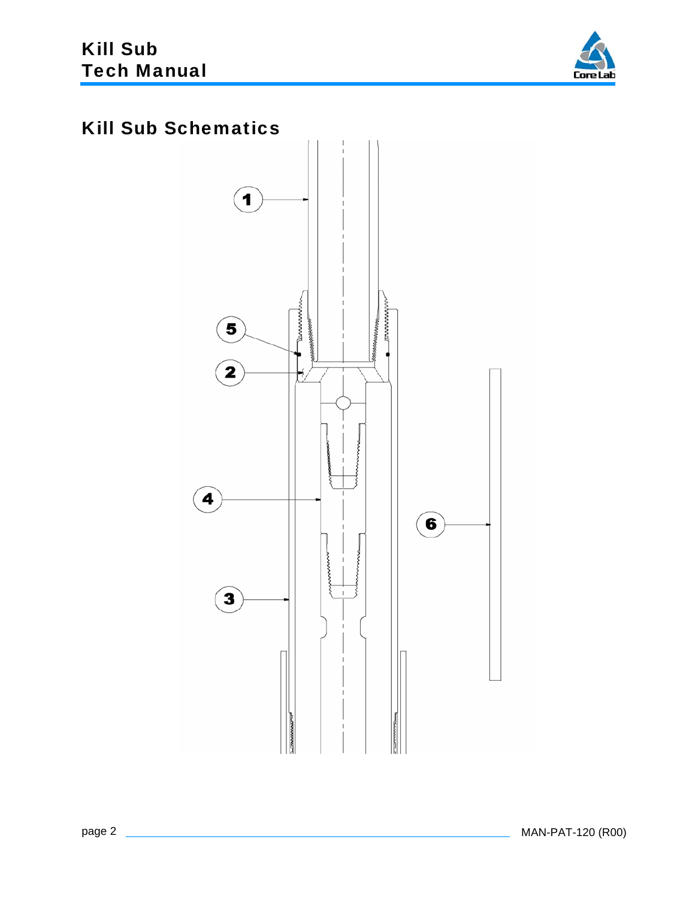

### Kill Sub Schematics

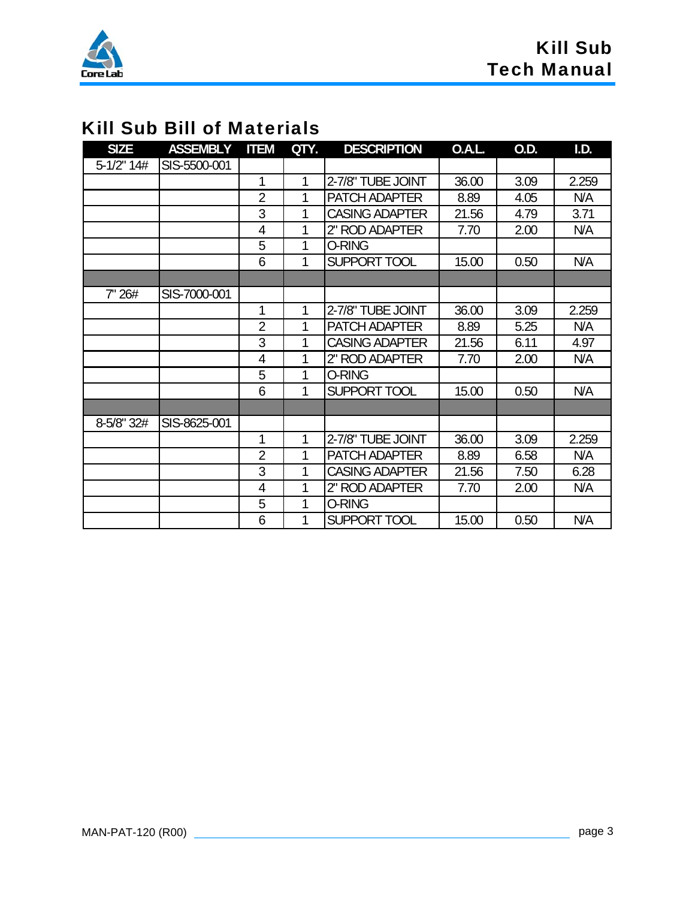

# Kill Sub Bill of Materials

| <b>SIZE</b> | <b>ASSEMBLY</b> | <b>ITEM</b>    | QTY. | <b>DESCRIPTION</b>    | O.A.L. | <b>O.D.</b> | I.D.       |
|-------------|-----------------|----------------|------|-----------------------|--------|-------------|------------|
| 5-1/2" 14#  | SIS-5500-001    |                |      |                       |        |             |            |
|             |                 | 1              | 1    | 2-7/8" TUBE JOINT     | 36.00  | 3.09        | 2.259      |
|             |                 | $\overline{2}$ | 1    | PATCH ADAPTER         | 8.89   | 4.05        | N/A        |
|             |                 | 3              | 1    | <b>CASING ADAPTER</b> | 21.56  | 4.79        | 3.71       |
|             |                 | 4              | 1    | 2" ROD ADAPTER        | 7.70   | 2.00        | <b>N/A</b> |
|             |                 | 5              | 1    | <b>O-RING</b>         |        |             |            |
|             |                 | 6              | 1    | <b>SUPPORT TOOL</b>   | 15.00  | 0.50        | <b>N/A</b> |
|             |                 |                |      |                       |        |             |            |
| 7" 26#      | SIS-7000-001    |                |      |                       |        |             |            |
|             |                 | 1              | 1    | 2-7/8" TUBE JOINT     | 36.00  | 3.09        | 2.259      |
|             |                 | $\overline{2}$ | 1    | PATCH ADAPTER         | 8.89   | 5.25        | N/A        |
|             |                 | 3              | 1    | <b>CASING ADAPTER</b> | 21.56  | 6.11        | 4.97       |
|             |                 | $\overline{4}$ | 1    | 2" ROD ADAPTER        | 7.70   | 2.00        | <b>N/A</b> |
|             |                 | 5              | 1    | <b>O-RING</b>         |        |             |            |
|             |                 | 6              | 1    | SUPPORT TOOL          | 15.00  | 0.50        | <b>N/A</b> |
|             |                 |                |      |                       |        |             |            |
| 8-5/8" 32#  | SIS-8625-001    |                |      |                       |        |             |            |
|             |                 | 1              | 1    | 2-7/8" TUBE JOINT     | 36.00  | 3.09        | 2.259      |
|             |                 | $\overline{2}$ | 1    | PATCH ADAPTER         | 8.89   | 6.58        | <b>N/A</b> |
|             |                 | 3              | 1    | <b>CASING ADAPTER</b> | 21.56  | 7.50        | 6.28       |
|             |                 | 4              | 1    | 2" ROD ADAPTER        | 7.70   | 2.00        | <b>N/A</b> |
|             |                 | 5              | 1    | <b>O-RING</b>         |        |             |            |
|             |                 | 6              | 1    | <b>SUPPORT TOOL</b>   | 15.00  | 0.50        | <b>N/A</b> |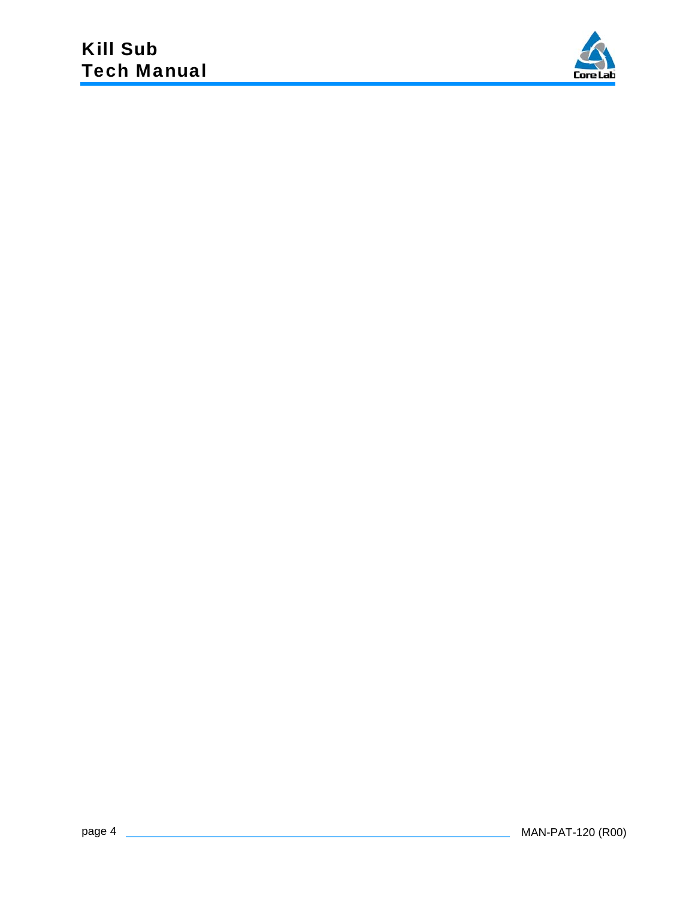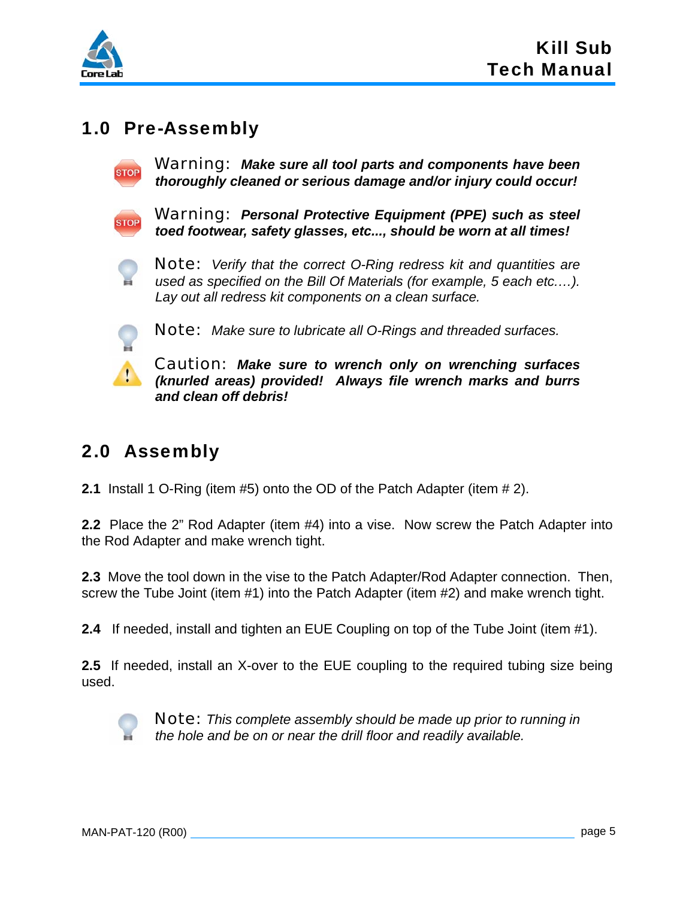

#### 1.0 Pre-Assembly



*Warning: Make sure all tool parts and components have been thoroughly cleaned or serious damage and/or injury could occur!*



*Warning: Personal Protective Equipment (PPE) such as steel toed footwear, safety glasses, etc..., should be worn at all times!*



*Note: Verify that the correct O-Ring redress kit and quantities are used as specified on the Bill Of Materials (for example, 5 each etc.…). Lay out all redress kit components on a clean surface.*



*Note: Make sure to lubricate all O-Rings and threaded surfaces.*

*Caution: Make sure to wrench only on wrenching surfaces (knurled areas) provided! Always file wrench marks and burrs and clean off debris!*

#### 2.0 Assembly

**2.1** Install 1 O-Ring (item #5) onto the OD of the Patch Adapter (item # 2).

**2.2** Place the 2" Rod Adapter (item #4) into a vise. Now screw the Patch Adapter into the Rod Adapter and make wrench tight.

**2.3** Move the tool down in the vise to the Patch Adapter/Rod Adapter connection. Then, screw the Tube Joint (item #1) into the Patch Adapter (item #2) and make wrench tight.

**2.4** If needed, install and tighten an EUE Coupling on top of the Tube Joint (item #1).

**2.5** If needed, install an X-over to the EUE coupling to the required tubing size being used.



*Note: This complete assembly should be made up prior to running in the hole and be on or near the drill floor and readily available.*